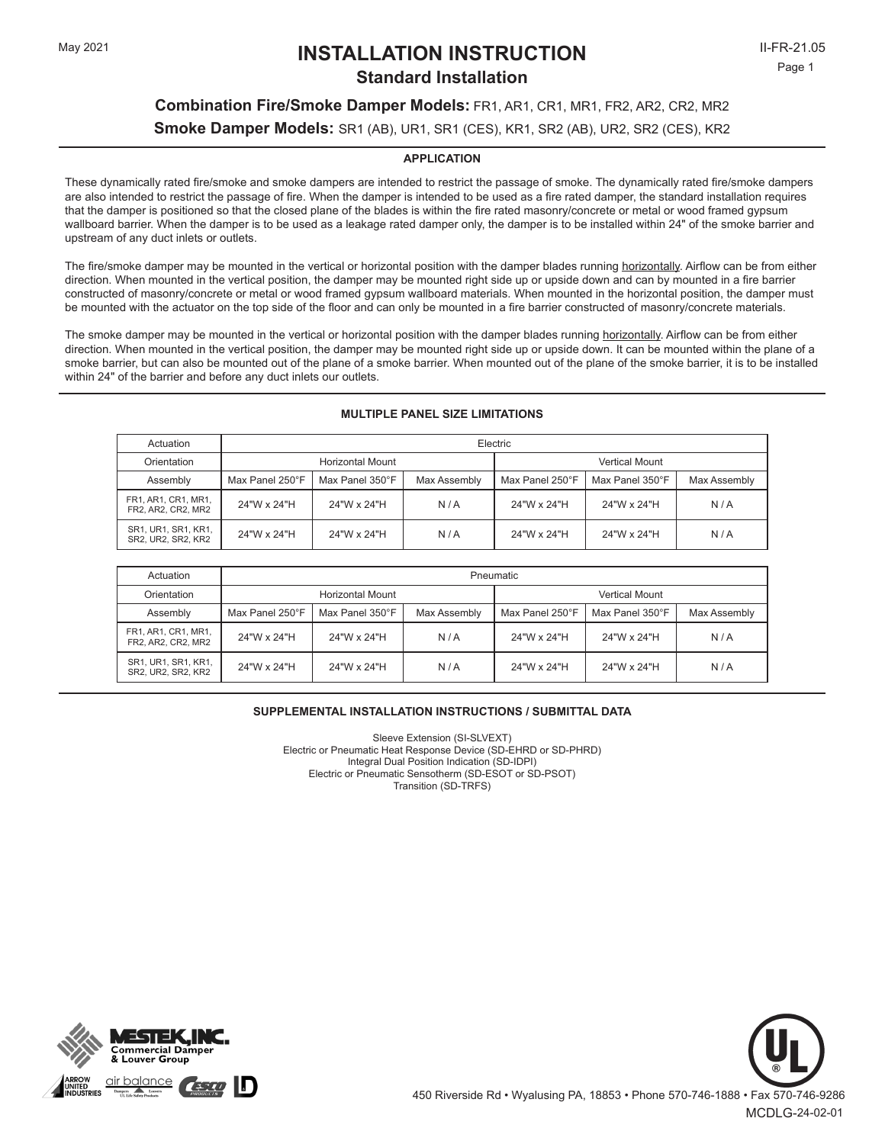# May 2021 **INSTALLATION INSTRUCTION** II-FR-21.05 **Standard Installation**

# **Combination Fire/Smoke Damper Models:** FR1, AR1, CR1, MR1, FR2, AR2, CR2, MR2 **Smoke Damper Models:** SR1 (AB), UR1, SR1 (CES), KR1, SR2 (AB), UR2, SR2 (CES), KR2

### **APPLICATION**

These dynamically rated fire/smoke and smoke dampers are intended to restrict the passage of smoke. The dynamically rated fire/smoke dampers are also intended to restrict the passage of fire. When the damper is intended to be used as a fire rated damper, the standard installation requires that the damper is positioned so that the closed plane of the blades is within the fire rated masonry/concrete or metal or wood framed gypsum wallboard barrier. When the damper is to be used as a leakage rated damper only, the damper is to be installed within 24" of the smoke barrier and upstream of any duct inlets or outlets.

The fire/smoke damper may be mounted in the vertical or horizontal position with the damper blades running horizontally. Airflow can be from either direction. When mounted in the vertical position, the damper may be mounted right side up or upside down and can by mounted in a fire barrier constructed of masonry/concrete or metal or wood framed gypsum wallboard materials. When mounted in the horizontal position, the damper must be mounted with the actuator on the top side of the floor and can only be mounted in a fire barrier constructed of masonry/concrete materials.

The smoke damper may be mounted in the vertical or horizontal position with the damper blades running horizontally. Airflow can be from either direction. When mounted in the vertical position, the damper may be mounted right side up or upside down. It can be mounted within the plane of a smoke barrier, but can also be mounted out of the plane of a smoke barrier. When mounted out of the plane of the smoke barrier, it is to be installed within 24" of the barrier and before any duct inlets our outlets.

### **MULTIPLE PANEL SIZE LIMITATIONS**

| Actuation                                 | Electric        |                  |              |                       |                 |              |
|-------------------------------------------|-----------------|------------------|--------------|-----------------------|-----------------|--------------|
| Orientation                               |                 | Horizontal Mount |              | <b>Vertical Mount</b> |                 |              |
| Assembly                                  | Max Panel 250°F | Max Panel 350°F  | Max Assembly | Max Panel 250°F       | Max Panel 350°F | Max Assembly |
| FR1, AR1, CR1, MR1,<br>FR2, AR2, CR2, MR2 | 24"W x 24"H     | 24"W x 24"H      | N/A          | 24"W x 24"H           | 24"W x 24"H     | N/A          |
| SR1, UR1, SR1, KR1,<br>SR2, UR2, SR2, KR2 | 24"W x 24"H     | 24"W x 24"H      | N/A          | 24"W x 24"H           | 24"W x 24"H     | N/A          |

| Actuation                                 | Pneumatic       |                  |              |                       |                 |              |
|-------------------------------------------|-----------------|------------------|--------------|-----------------------|-----------------|--------------|
| Orientation                               |                 | Horizontal Mount |              | <b>Vertical Mount</b> |                 |              |
| Assembly                                  | Max Panel 250°F | Max Panel 350°F  | Max Assembly | Max Panel 250°F       | Max Panel 350°F | Max Assembly |
| FR1, AR1, CR1, MR1,<br>FR2, AR2, CR2, MR2 | 24"W x 24"H     | 24"W x 24"H      | N/A          | 24"W x 24"H           | 24"W x 24"H     | N/A          |
| SR1, UR1, SR1, KR1,<br>SR2, UR2, SR2, KR2 | 24"W x 24"H     | 24"W x 24"H      | N/A          | 24"W x 24"H           | 24"W x 24"H     | N/A          |

### **SUPPLEMENTAL INSTALLATION INSTRUCTIONS / SUBMITTAL DATA**

Sleeve Extension (SI-SLVEXT) Electric or Pneumatic Heat Response Device (SD-EHRD or SD-PHRD) Integral Dual Position Indication (SD-IDPI) Electric or Pneumatic Sensotherm (SD-ESOT or SD-PSOT) Transition (SD-TRFS)



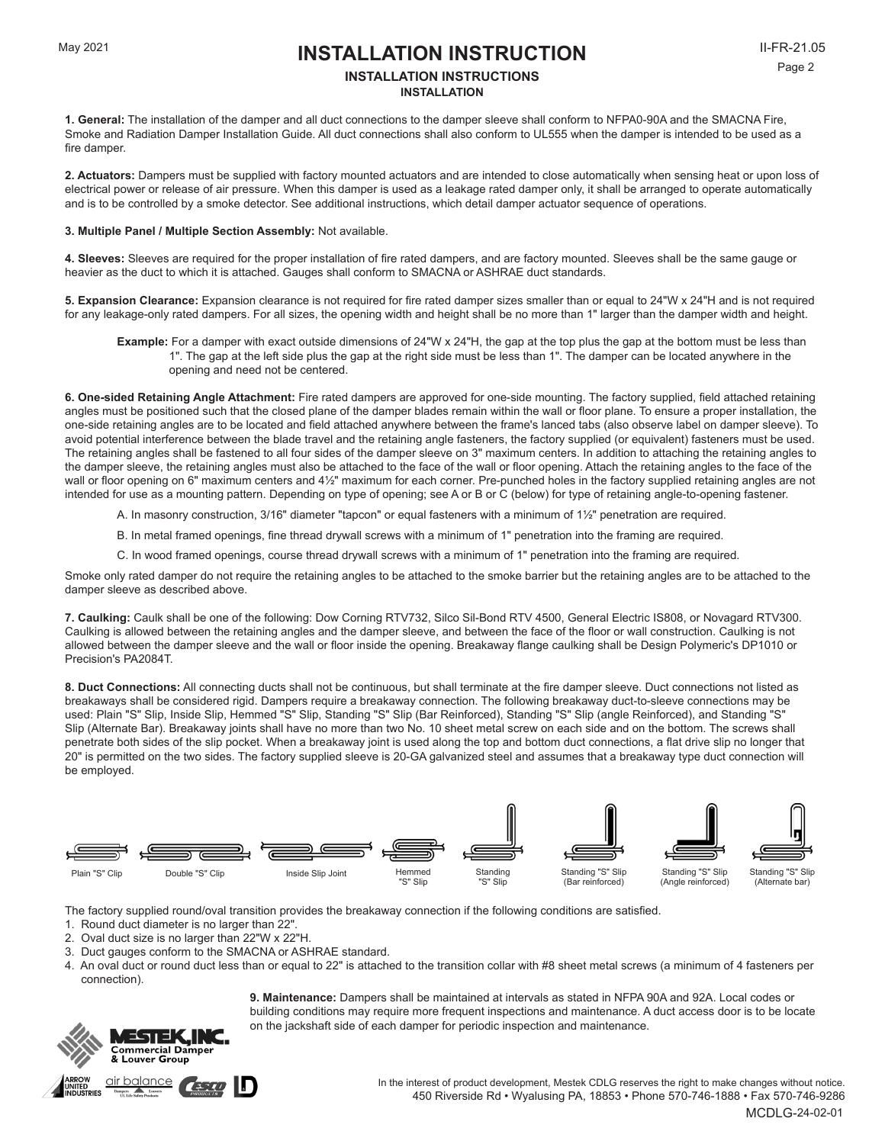## **INSTALLATION INSTALLATION INSTRUCTIONS**

**1. General:** The installation of the damper and all duct connections to the damper sleeve shall conform to NFPA0-90A and the SMACNA Fire, Smoke and Radiation Damper Installation Guide. All duct connections shall also conform to UL555 when the damper is intended to be used as a fire damper.

**2. Actuators:** Dampers must be supplied with factory mounted actuators and are intended to close automatically when sensing heat or upon loss of electrical power or release of air pressure. When this damper is used as a leakage rated damper only, it shall be arranged to operate automatically and is to be controlled by a smoke detector. See additional instructions, which detail damper actuator sequence of operations.

### **3. Multiple Panel / Multiple Section Assembly:** Not available.

**4. Sleeves:** Sleeves are required for the proper installation of fire rated dampers, and are factory mounted. Sleeves shall be the same gauge or heavier as the duct to which it is attached. Gauges shall conform to SMACNA or ASHRAE duct standards.

**5. Expansion Clearance:** Expansion clearance is not required for fire rated damper sizes smaller than or equal to 24"W x 24"H and is not required for any leakage-only rated dampers. For all sizes, the opening width and height shall be no more than 1" larger than the damper width and height.

**6. One-sided Retaining Angle Attachment:** Fire rated dampers are approved for one-side mounting. The factory supplied, field attached retaining angles must be positioned such that the closed plane of the damper blades remain within the wall or floor plane. To ensure a proper installation, the one-side retaining angles are to be located and field attached anywhere between the frame's lanced tabs (also observe label on damper sleeve). To avoid potential interference between the blade travel and the retaining angle fasteners, the factory supplied (or equivalent) fasteners must be used. The retaining angles shall be fastened to all four sides of the damper sleeve on 3" maximum centers. In addition to attaching the retaining angles to the damper sleeve, the retaining angles must also be attached to the face of the wall or floor opening. Attach the retaining angles to the face of the wall or floor opening on 6" maximum centers and 4½" maximum for each corner. Pre-punched holes in the factory supplied retaining angles are not intended for use as a mounting pattern. Depending on type of opening; see A or B or C (below) for type of retaining angle-to-opening fastener.

A. In masonry construction, 3/16" diameter "tapcon" or equal fasteners with a minimum of 1½" penetration are required.

B. In metal framed openings, fine thread drywall screws with a minimum of 1" penetration into the framing are required.

C. In wood framed openings, course thread drywall screws with a minimum of 1" penetration into the framing are required.

Smoke only rated damper do not require the retaining angles to be attached to the smoke barrier but the retaining angles are to be attached to the damper sleeve as described above.

**7. Caulking:** Caulk shall be one of the following: Dow Corning RTV732, Silco Sil-Bond RTV 4500, General Electric IS808, or Novagard RTV300. Caulking is allowed between the retaining angles and the damper sleeve, and between the face of the floor or wall construction. Caulking is not allowed between the damper sleeve and the wall or floor inside the opening. Breakaway flange caulking shall be Design Polymeric's DP1010 or Precision's PA2084T.

**8. Duct Connections:** All connecting ducts shall not be continuous, but shall terminate at the fire damper sleeve. Duct connections not listed as breakaways shall be considered rigid. Dampers require a breakaway connection. The following breakaway duct-to-sleeve connections may be used: Plain "S" Slip, Inside Slip, Hemmed "S" Slip, Standing "S" Slip (Bar Reinforced), Standing "S" Slip (angle Reinforced), and Standing "S" Slip (Alternate Bar). Breakaway joints shall have no more than two No. 10 sheet metal screw on each side and on the bottom. The screws shall penetrate both sides of the slip pocket. When a breakaway joint is used along the top and bottom duct connections, a flat drive slip no longer that 20" is permitted on the two sides. The factory supplied sleeve is 20-GA galvanized steel and assumes that a breakaway type duct connection will be employed.



The factory supplied round/oval transition provides the breakaway connection if the following conditions are satisfied.

- 1. Round duct diameter is no larger than 22".
- 2. Oval duct size is no larger than 22"W x 22"H.
- 3. Duct gauges conform to the SMACNA or ASHRAE standard.
- 4. An oval duct or round duct less than or equal to 22" is attached to the transition collar with #8 sheet metal screws (a minimum of 4 fasteners per connection).

**9. Maintenance:** Dampers shall be maintained at intervals as stated in NFPA 90A and 92A. Local codes or building conditions may require more frequent inspections and maintenance. A duct access door is to be locate on the jackshaft side of each damper for periodic inspection and maintenance.



In the interest of product development, Mestek CDLG reserves the right to make changes without notice. 450 Riverside Rd • Wyalusing PA, 18853 • Phone 570-746-1888 • Fax 570-746-9286 MCDLG-24-02-01

**Example:** For a damper with exact outside dimensions of 24"W x 24"H, the gap at the top plus the gap at the bottom must be less than 1". The gap at the left side plus the gap at the right side must be less than 1". The damper can be located anywhere in the opening and need not be centered.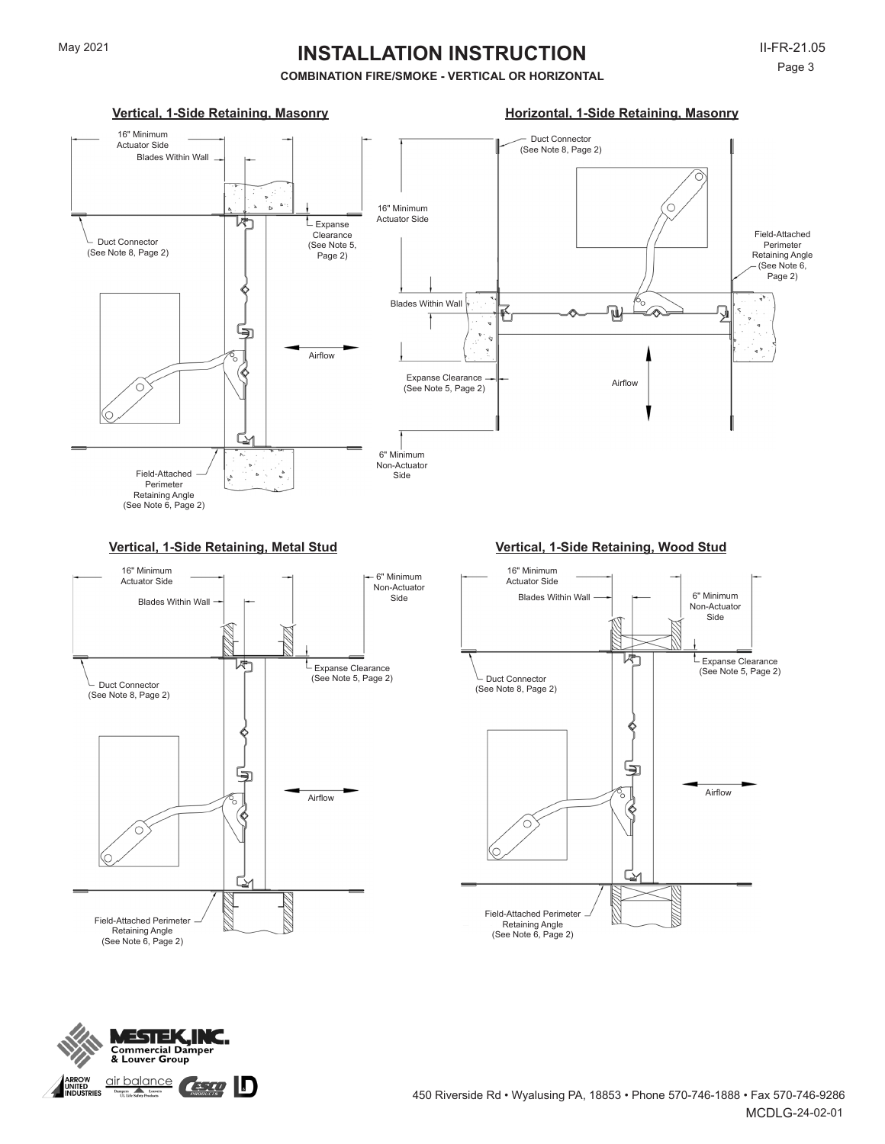## **COMBINATION FIRE/SMOKE - VERTICAL OR HORIZONTAL**



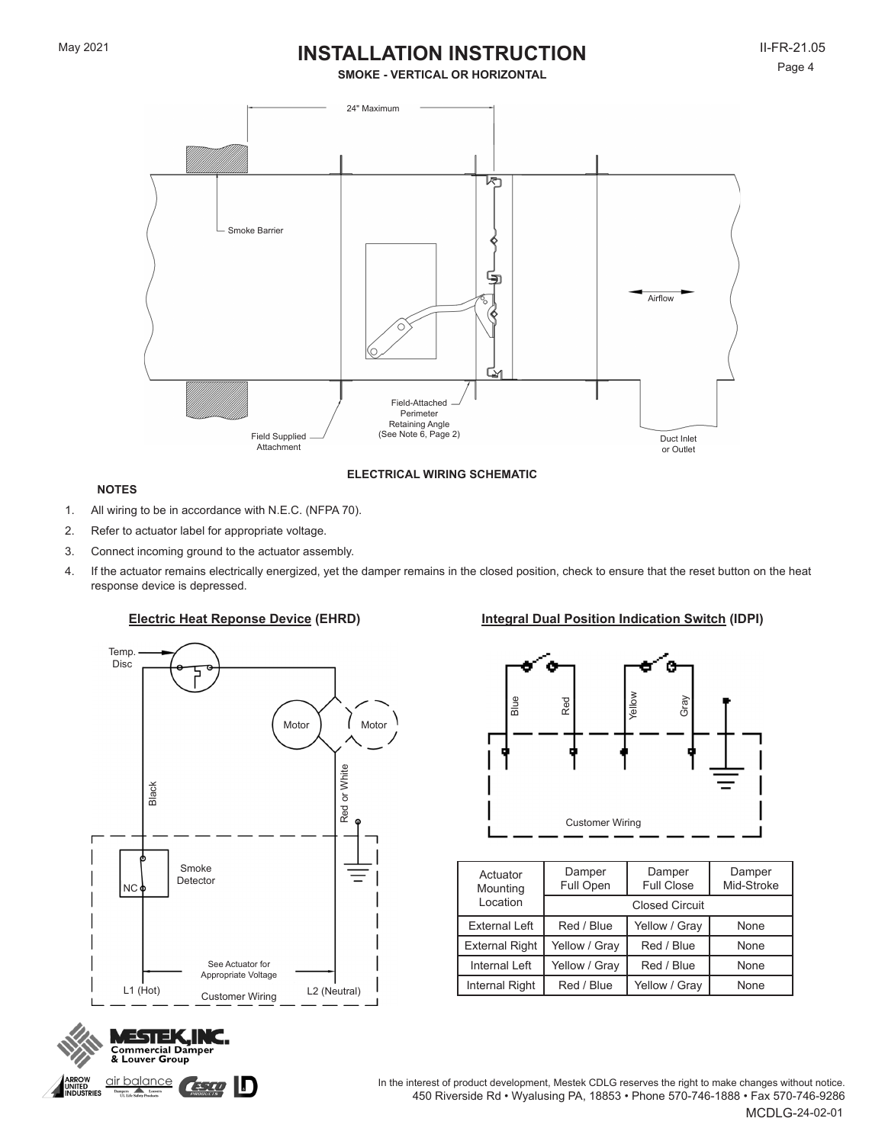**SMOKE - VERTICAL OR HORIZONTAL**



**ELECTRICAL WIRING SCHEMATIC**

## **NOTES**

- 1. All wiring to be in accordance with N.E.C. (NFPA 70).
- 2. Refer to actuator label for appropriate voltage.
- 3. Connect incoming ground to the actuator assembly.
- 4. If the actuator remains electrically energized, yet the damper remains in the closed position, check to ensure that the reset button on the heat response device is depressed.



**Commercial Damper** & Louver Group

Dampers<br>UL Life Safety Products

**IKKOW<br>NITED<br>NDUSTRIES** 

## **Electric Heat Reponse Device (EHRD) Integral Dual Position Indication Switch (IDPI)**



| Actuator<br>Mounting  | Damper<br>Full Open | Damper<br><b>Full Close</b> | Damper<br>Mid-Stroke |  |
|-----------------------|---------------------|-----------------------------|----------------------|--|
| Location              |                     | <b>Closed Circuit</b>       |                      |  |
| External Left         | Red / Blue          | Yellow / Gray               | None                 |  |
| <b>External Right</b> | Yellow / Gray       | Red / Blue                  | None                 |  |
| Internal Left         | Yellow / Gray       | Red / Blue                  | None                 |  |
| Internal Right        | Red / Blue          | Yellow / Gray               | None                 |  |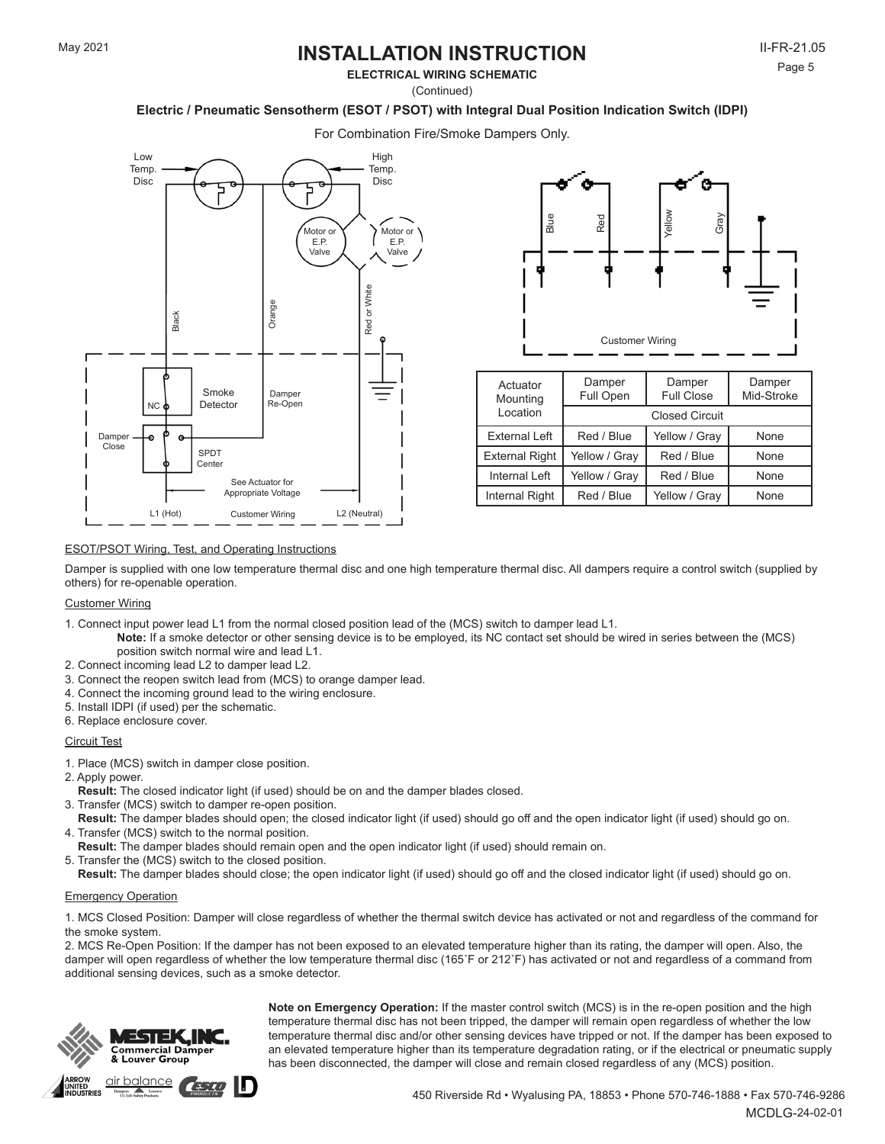**ELECTRICAL WIRING SCHEMATIC**

(Continued)

## **Electric / Pneumatic Sensotherm (ESOT / PSOT) with Integral Dual Position Indication Switch (IDPI)**

For Combination Fire/Smoke Dampers Only.





| Actuator<br>Mounting  | Damper<br>Full Open | Damper<br><b>Full Close</b> | Damper<br>Mid-Stroke |  |
|-----------------------|---------------------|-----------------------------|----------------------|--|
| Location              |                     | <b>Closed Circuit</b>       |                      |  |
| External Left         | Red / Blue          | Yellow / Gray               | None                 |  |
| <b>External Right</b> | Yellow / Gray       | Red / Blue                  | None                 |  |
| Internal Left         | Yellow / Gray       | Red / Blue                  | None                 |  |
| <b>Internal Right</b> | Red / Blue          | Yellow / Gray               | None                 |  |

### ESOT/PSOT Wiring, Test, and Operating Instructions

Damper is supplied with one low temperature thermal disc and one high temperature thermal disc. All dampers require a control switch (supplied by others) for re-openable operation.

### Customer Wiring

- 1. Connect input power lead L1 from the normal closed position lead of the (MCS) switch to damper lead L1.
	- **Note:** If a smoke detector or other sensing device is to be employed, its NC contact set should be wired in series between the (MCS) position switch normal wire and lead L1.
- 2. Connect incoming lead L2 to damper lead L2.
- 3. Connect the reopen switch lead from (MCS) to orange damper lead.
- 4. Connect the incoming ground lead to the wiring enclosure.
- 5. Install IDPI (if used) per the schematic.
- 6. Replace enclosure cover.

### Circuit Test

- 1. Place (MCS) switch in damper close position.
- 2. Apply power.
- **Result:** The closed indicator light (if used) should be on and the damper blades closed.
- 3. Transfer (MCS) switch to damper re-open position.
- **Result:** The damper blades should open; the closed indicator light (if used) should go off and the open indicator light (if used) should go on. 4. Transfer (MCS) switch to the normal position.
- **Result:** The damper blades should remain open and the open indicator light (if used) should remain on.
- 5. Transfer the (MCS) switch to the closed position.
	- **Result:** The damper blades should close; the open indicator light (if used) should go off and the closed indicator light (if used) should go on.

### Emergency Operation

1. MCS Closed Position: Damper will close regardless of whether the thermal switch device has activated or not and regardless of the command for the smoke system.

2. MCS Re-Open Position: If the damper has not been exposed to an elevated temperature higher than its rating, the damper will open. Also, the damper will open regardless of whether the low temperature thermal disc (165˚F or 212˚F) has activated or not and regardless of a command from additional sensing devices, such as a smoke detector.



**Note on Emergency Operation:** If the master control switch (MCS) is in the re-open position and the high temperature thermal disc has not been tripped, the damper will remain open regardless of whether the low temperature thermal disc and/or other sensing devices have tripped or not. If the damper has been exposed to an elevated temperature higher than its temperature degradation rating, or if the electrical or pneumatic supply<br>has been disconnected, the damper will close and remain closed regardless of any (MCS) position.